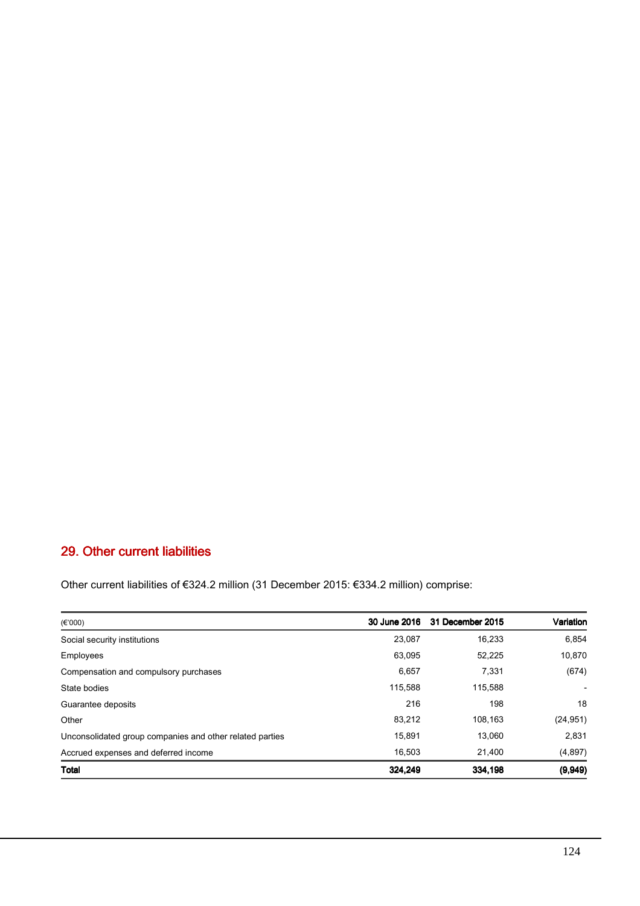## 29. Other current liabilities

Other current liabilities of €324.2 million (31 December 2015: €334.2 million) comprise:

| (E'000)                                                  |         | 30 June 2016 31 December 2015 | Variation |
|----------------------------------------------------------|---------|-------------------------------|-----------|
| Social security institutions                             | 23,087  | 16,233                        | 6,854     |
| Employees                                                | 63,095  | 52,225                        | 10,870    |
| Compensation and compulsory purchases                    | 6,657   | 7,331                         | (674)     |
| State bodies                                             | 115,588 | 115,588                       |           |
| Guarantee deposits                                       | 216     | 198                           | 18        |
| Other                                                    | 83,212  | 108.163                       | (24, 951) |
| Unconsolidated group companies and other related parties | 15,891  | 13.060                        | 2,831     |
| Accrued expenses and deferred income                     | 16.503  | 21.400                        | (4,897)   |
| Total                                                    | 324,249 | 334,198                       | (9,949)   |